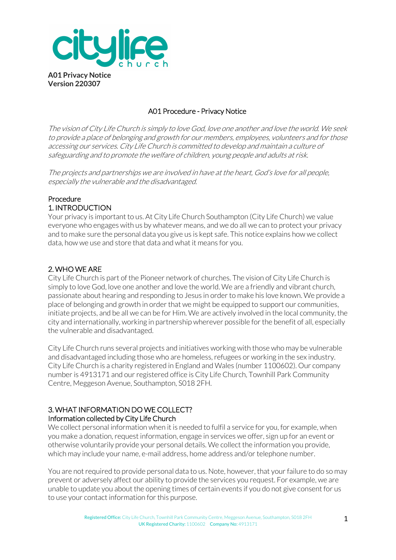

# A01 Procedure - Privacy Notice

The vision of City Life Church is simply to love God, love one another and love the world. We seek to provide a place of belonging and growth for our members, employees, volunteers and for those accessing our services. City Life Church is committed to develop and maintain a culture of safeguarding and to promote the welfare of children, young people and adults at risk.

The projects and partnerships we are involved in have at the heart, God's love for all people, especially the vulnerable and the disadvantaged.

# Procedure 1. INTRODUCTION

Your privacy is important to us. At City Life Church Southampton (City Life Church) we value everyone who engages with us by whatever means, and we do all we can to protect your privacy and to make sure the personal data you give us is kept safe. This notice explains how we collect data, how we use and store that data and what it means for you.

# 2. WHO WE ARE

City Life Church is part of the Pioneer network of churches. The vision of City Life Church is simply to love God, love one another and love the world. We are a friendly and vibrant church, passionate about hearing and responding to Jesus in order to make his love known. We provide a place of belonging and growth in order that we might be equipped to support our communities, initiate projects, and be all we can be for Him. We are actively involved in the local community, the city and internationally, working in partnership wherever possible for the benefit of all, especially the vulnerable and disadvantaged.

City Life Church runs several projects and initiatives working with those who may be vulnerable and disadvantaged including those who are homeless, refugees or working in the sex industry. City Life Church is a charity registered in England and Wales (number 1100602). Our company number is 4913171 and our registered office is City Life Church, Townhill Park Community Centre, Meggeson Avenue, Southampton, S018 2FH.

### 3. WHAT INFORMATION DO WE COLLECT? Information collected by City Life Church

We collect personal information when it is needed to fulfil a service for you, for example, when you make a donation, request information, engage in services we offer, sign up for an event or otherwise voluntarily provide your personal details. We collect the information you provide, which may include your name, e-mail address, home address and/or telephone number.

You are not required to provide personal data to us. Note, however, that your failure to do so may prevent or adversely affect our ability to provide the services you request. For example, we are unable to update you about the opening times of certain events if you do not give consent for us to use your contact information for this purpose.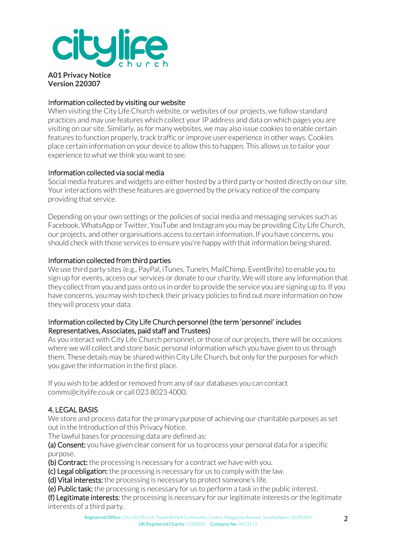

## Information collected by visiting our website

When visiting the City Life Church website, or websites of our projects, we follow standard practices and may use features which collect your IP address and data on which pages you are visiting on our site. Similarly, as for many websites, we may also issue cookies to enable certain features to function properly, track traffic or improve user experience in other ways. Cookies place certain information on your device to allow this to happen. This allows us to tailor your experience to what we think you want to see.

### Information collected via social media

Social media features and widgets are either hosted by a third party or hosted directly on our site. Your interactions with these features are governed by the privacy notice of the company providing that service.

Depending on your own settings or the policies of social media and messaging services such as Facebook, WhatsApp or Twitter, YouTube and Instagram you may be providing City Life Church, our projects, and other organisations access to certain information. If you have concerns, you should check with those services to ensure you're happy with that information being shared.

### Information collected from third parties

We use third party sites (e.g., PayPal, iTunes, TuneIn, MailChimp, EventBrite) to enable you to sign up for events, access our services or donate to our charity. We will store any information that they collect from you and pass onto us in order to provide the service you are signing up to. If you have concerns, you may wish to check their privacy policies to find out more information on how they will process your data.

### Information collected by City Life Church personnel (the term 'personnel' includes Representatives, Associates, paid staff and Trustees)

As you interact with City Life Church personnel, or those of our projects, there will be occasions where we will collect and store basic personal information which you have given to us through them. These details may be shared within City Life Church, but only for the purposes for which you gave the information in the first place.

If you wish to be added or removed from any of our databases you can contact comms@citylife.co.uk or call 023 8023 4000.

# 4. LEGAL BASIS

We store and process data for the primary purpose of achieving our charitable purposes as set out in the Introduction of this Privacy Notice.

The lawful bases for processing data are defined as:

(a) Consent: you have given clear consent for us to process your personal data for a specific purpose.

(b) Contract: the processing is necessary for a contract we have with you.

(c) Legal obligation: the processing is necessary for us to comply with the law.

(d) Vital interests: the processing is necessary to protect someone's life.

(e) Public task: the processing is necessary for us to perform a task in the public interest.

(f) Legitimate interests: the processing is necessary for our legitimate interests or the legitimate interests of a third party.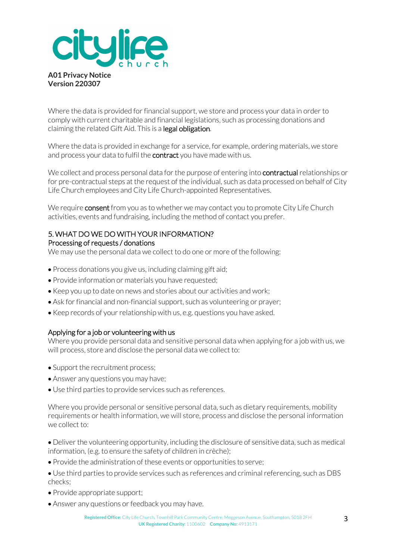

Where the data is provided for financial support, we store and process your data in order to comply with current charitable and financial legislations, such as processing donations and claiming the related Gift Aid. This is a legal obligation.

Where the data is provided in exchange for a service, for example, ordering materials, we store and process your data to fulfil the **contract** you have made with us.

We collect and process personal data for the purpose of entering into **contractual** relationships or for pre-contractual steps at the request of the individual, such as data processed on behalf of City Life Church employees and City Life Church-appointed Representatives.

We require **consent** from you as to whether we may contact you to promote City Life Church activities, events and fundraising, including the method of contact you prefer.

#### 5. WHAT DO WE DO WITH YOUR INFORMATION? Processing of requests / donations

We may use the personal data we collect to do one or more of the following:

- Process donations you give us, including claiming gift aid;
- Provide information or materials you have requested;
- Keep you up to date on news and stories about our activities and work;
- Ask for financial and non-financial support, such as volunteering or prayer;
- Keep records of your relationship with us, e.g. questions you have asked.

# Applying for a job or volunteering with us

Where you provide personal data and sensitive personal data when applying for a job with us, we will process, store and disclose the personal data we collect to:

- Support the recruitment process:
- Answer any questions you may have;
- Use third parties to provide services such as references.

Where you provide personal or sensitive personal data, such as dietary requirements, mobility requirements or health information, we will store, process and disclose the personal information we collect to:

• Deliver the volunteering opportunity, including the disclosure of sensitive data, such as medical information, (e.g. to ensure the safety of children in crèche);

- Provide the administration of these events or opportunities to serve;
- Use third parties to provide services such as references and criminal referencing, such as DBS checks;
- Provide appropriate support;
- Answer any questions or feedback you may have.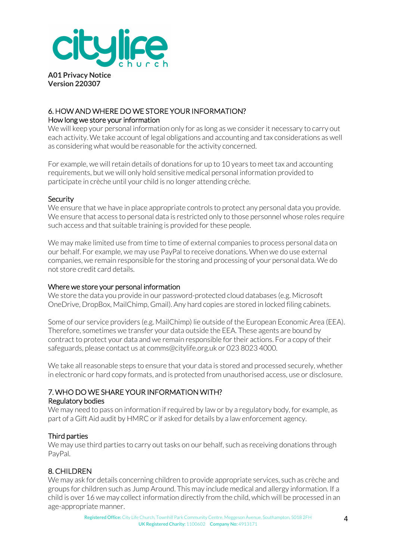

## 6. HOW AND WHERE DO WE STORE YOUR INFORMATION? How long we store your information

We will keep your personal information only for as long as we consider it necessary to carry out each activity. We take account of legal obligations and accounting and tax considerations as well as considering what would be reasonable for the activity concerned.

For example, we will retain details of donations for up to 10 years to meet tax and accounting requirements, but we will only hold sensitive medical personal information provided to participate in crèche until your child is no longer attending crèche.

#### **Security**

We ensure that we have in place appropriate controls to protect any personal data you provide. We ensure that access to personal data is restricted only to those personnel whose roles require such access and that suitable training is provided for these people.

We may make limited use from time to time of external companies to process personal data on our behalf. For example, we may use PayPal to receive donations. When we do use external companies, we remain responsible for the storing and processing of your personal data. We do not store credit card details.

#### Where we store your personal information

We store the data you provide in our password-protected cloud databases (e.g. Microsoft OneDrive, DropBox, MailChimp, Gmail). Any hard copies are stored in locked filing cabinets.

Some of our service providers (e.g. MailChimp) lie outside of the European Economic Area (EEA). Therefore, sometimes we transfer your data outside the EEA. These agents are bound by contract to protect your data and we remain responsible for their actions. For a copy of their safeguards, please contact us at comms@citylife.org.uk or 023 8023 4000.

We take all reasonable steps to ensure that your data is stored and processed securely, whether in electronic or hard copy formats, and is protected from unauthorised access, use or disclosure.

#### 7. WHO DO WE SHARE YOUR INFORMATION WITH? Regulatory bodies

We may need to pass on information if required by law or by a regulatory body, for example, as part of a Gift Aid audit by HMRC or if asked for details by a law enforcement agency.

#### Third parties

We may use third parties to carry out tasks on our behalf, such as receiving donations through PayPal.

# 8. CHILDREN

We may ask for details concerning children to provide appropriate services, such as crèche and groups for children such as Jump Around. This may include medical and allergy information. If a child is over 16 we may collect information directly from the child, which will be processed in an age-appropriate manner.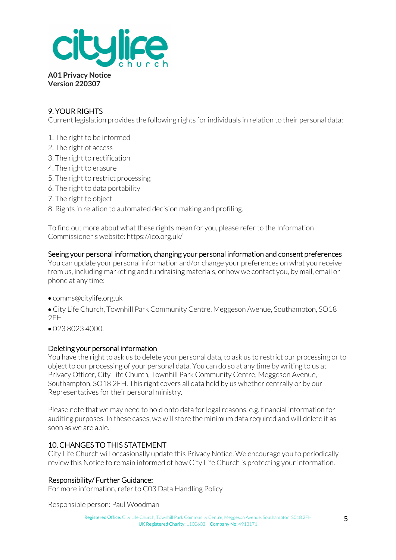

# 9. YOUR RIGHTS

Current legislation provides the following rights for individuals in relation to their personal data:

- 1. The right to be informed
- 2. The right of access
- 3. The right to rectification
- 4. The right to erasure
- 5. The right to restrict processing
- 6. The right to data portability
- 7. The right to object
- 8. Rights in relation to automated decision making and profiling.

To find out more about what these rights mean for you, please refer to the Information Commissioner's website: https://ico.org.uk/

Seeing your personal information, changing your personal information and consent preferences You can update your personal information and/or change your preferences on what you receive from us, including marketing and fundraising materials, or how we contact you, by mail, email or phone at any time:

- comms@citylife.org.uk
- City Life Church, Townhill Park Community Centre, Meggeson Avenue, Southampton, SO18 2FH
- 023 8023 4000.

#### Deleting your personal information

You have the right to ask us to delete your personal data, to ask us to restrict our processing orto object to our processing of your personal data. You can do so at any time by writing to us at Privacy Officer, City Life Church, Townhill Park Community Centre, Meggeson Avenue, Southampton, SO18 2FH. This right covers all data held by us whether centrally or by our Representatives for their personal ministry.

Please note that we may need to hold onto data for legal reasons, e.g. financial information for auditing purposes. In these cases, we will store the minimum data required and will delete it as soon as we are able.

# 10. CHANGES TO THIS STATEMENT

City Life Church will occasionally update this Privacy Notice. We encourage you to periodically review this Notice to remain informed of how City Life Church is protecting your information.

#### Responsibility/ Further Guidance:

For more information, refer to C03 Data Handling Policy

Responsible person: Paul Woodman